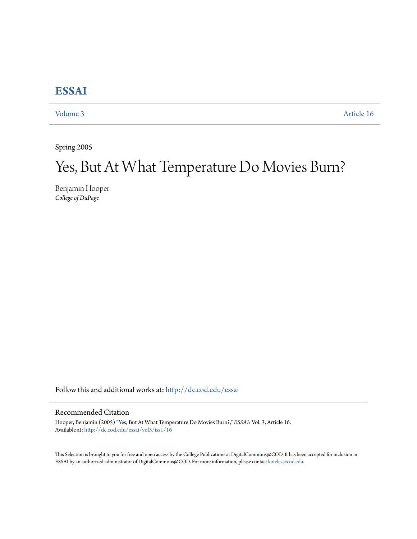## **[ESSAI](http://dc.cod.edu/essai?utm_source=dc.cod.edu%2Fessai%2Fvol3%2Fiss1%2F16&utm_medium=PDF&utm_campaign=PDFCoverPages)**

[Volume 3](http://dc.cod.edu/essai/vol3?utm_source=dc.cod.edu%2Fessai%2Fvol3%2Fiss1%2F16&utm_medium=PDF&utm_campaign=PDFCoverPages) [Article 16](http://dc.cod.edu/essai/vol3/iss1/16?utm_source=dc.cod.edu%2Fessai%2Fvol3%2Fiss1%2F16&utm_medium=PDF&utm_campaign=PDFCoverPages)

Spring 2005

## Yes, But At What Temperature Do Movies Burn?

Benjamin Hooper *College of DuPage*

Follow this and additional works at: [http://dc.cod.edu/essai](http://dc.cod.edu/essai?utm_source=dc.cod.edu%2Fessai%2Fvol3%2Fiss1%2F16&utm_medium=PDF&utm_campaign=PDFCoverPages)

## Recommended Citation

Hooper, Benjamin (2005) "Yes, But At What Temperature Do Movies Burn?," *ESSAI*: Vol. 3, Article 16. Available at: [http://dc.cod.edu/essai/vol3/iss1/16](http://dc.cod.edu/essai/vol3/iss1/16?utm_source=dc.cod.edu%2Fessai%2Fvol3%2Fiss1%2F16&utm_medium=PDF&utm_campaign=PDFCoverPages)

This Selection is brought to you for free and open access by the College Publications at DigitalCommons@COD. It has been accepted for inclusion in ESSAI by an authorized administrator of DigitalCommons@COD. For more information, please contact [koteles@cod.edu](mailto:koteles@cod.edu).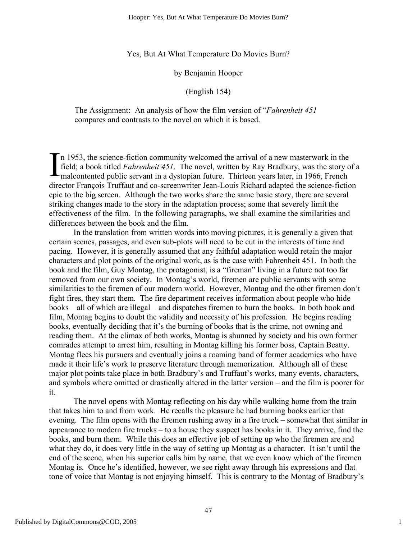Yes, But At What Temperature Do Movies Burn?

by Benjamin Hooper

(English 154)

The Assignment: An analysis of how the film version of "*Fahrenheit 451* compares and contrasts to the novel on which it is based.

n 1953, the science-fiction community welcomed the arrival of a new masterwork in the field; a book titled *Fahrenheit 451*. The novel, written by Ray Bradbury, was the story of a In 1953, the science-fiction community welcomed the arrival of a new masterwork in the field; a book titled *Fahrenheit 451*. The novel, written by Ray Bradbury, was the story comalcontented public servant in a dystopian director François Truffaut and co-screenwriter Jean-Louis Richard adapted the science-fiction epic to the big screen. Although the two works share the same basic story, there are several striking changes made to the story in the adaptation process; some that severely limit the effectiveness of the film. In the following paragraphs, we shall examine the similarities and differences between the book and the film.

In the translation from written words into moving pictures, it is generally a given that certain scenes, passages, and even sub-plots will need to be cut in the interests of time and pacing. However, it is generally assumed that any faithful adaptation would retain the major characters and plot points of the original work, as is the case with Fahrenheit 451. In both the book and the film, Guy Montag, the protagonist, is a "fireman" living in a future not too far removed from our own society. In Montag's world, firemen are public servants with some similarities to the firemen of our modern world. However, Montag and the other firemen don't fight fires, they start them. The fire department receives information about people who hide books – all of which are illegal – and dispatches firemen to burn the books. In both book and film, Montag begins to doubt the validity and necessity of his profession. He begins reading books, eventually deciding that it's the burning of books that is the crime, not owning and reading them. At the climax of both works, Montag is shunned by society and his own former comrades attempt to arrest him, resulting in Montag killing his former boss, Captain Beatty. Montag flees his pursuers and eventually joins a roaming band of former academics who have made it their life's work to preserve literature through memorization. Although all of these major plot points take place in both Bradbury's and Truffaut's works, many events, characters, and symbols where omitted or drastically altered in the latter version – and the film is poorer for it.

The novel opens with Montag reflecting on his day while walking home from the train that takes him to and from work. He recalls the pleasure he had burning books earlier that evening. The film opens with the firemen rushing away in a fire truck – somewhat that similar in appearance to modern fire trucks – to a house they suspect has books in it. They arrive, find the books, and burn them. While this does an effective job of setting up who the firemen are and what they do, it does very little in the way of setting up Montag as a character. It isn't until the end of the scene, when his superior calls him by name, that we even know which of the firemen Montag is. Once he's identified, however, we see right away through his expressions and flat tone of voice that Montag is not enjoying himself. This is contrary to the Montag of Bradbury's

1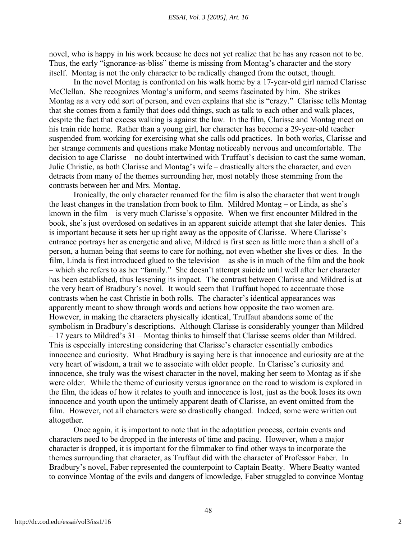novel, who is happy in his work because he does not yet realize that he has any reason not to be. Thus, the early "ignorance-as-bliss" theme is missing from Montag's character and the story itself. Montag is not the only character to be radically changed from the outset, though.

In the novel Montag is confronted on his walk home by a 17-year-old girl named Clarisse McClellan. She recognizes Montag's uniform, and seems fascinated by him. She strikes Montag as a very odd sort of person, and even explains that she is "crazy." Clarisse tells Montag that she comes from a family that does odd things, such as talk to each other and walk places, despite the fact that excess walking is against the law. In the film, Clarisse and Montag meet on his train ride home. Rather than a young girl, her character has become a 29-year-old teacher suspended from working for exercising what she calls odd practices. In both works, Clarisse and her strange comments and questions make Montag noticeably nervous and uncomfortable. The decision to age Clarisse – no doubt intertwined with Truffaut's decision to cast the same woman, Julie Christie, as both Clarisse and Montag's wife – drastically alters the character, and even detracts from many of the themes surrounding her, most notably those stemming from the contrasts between her and Mrs. Montag.

Ironically, the only character renamed for the film is also the character that went trough the least changes in the translation from book to film. Mildred Montag – or Linda, as she's known in the film – is very much Clarisse's opposite. When we first encounter Mildred in the book, she's just overdosed on sedatives in an apparent suicide attempt that she later denies. This is important because it sets her up right away as the opposite of Clarisse. Where Clarisse's entrance portrays her as energetic and alive, Mildred is first seen as little more than a shell of a person, a human being that seems to care for nothing, not even whether she lives or dies. In the film, Linda is first introduced glued to the television – as she is in much of the film and the book – which she refers to as her "family." She doesn't attempt suicide until well after her character has been established, thus lessening its impact. The contrast between Clarisse and Mildred is at the very heart of Bradbury's novel. It would seem that Truffaut hoped to accentuate those contrasts when he cast Christie in both rolls. The character's identical appearances was apparently meant to show through words and actions how opposite the two women are. However, in making the characters physically identical, Truffaut abandons some of the symbolism in Bradbury's descriptions. Although Clarisse is considerably younger than Mildred – 17 years to Mildred's 31 – Montag thinks to himself that Clarisse seems older than Mildred. This is especially interesting considering that Clarisse's character essentially embodies innocence and curiosity. What Bradbury is saying here is that innocence and curiosity are at the very heart of wisdom, a trait we to associate with older people. In Clarisse's curiosity and innocence, she truly was the wisest character in the novel, making her seem to Montag as if she were older. While the theme of curiosity versus ignorance on the road to wisdom is explored in the film, the ideas of how it relates to youth and innocence is lost, just as the book loses its own innocence and youth upon the untimely apparent death of Clarisse, an event omitted from the film. However, not all characters were so drastically changed. Indeed, some were written out altogether.

Once again, it is important to note that in the adaptation process, certain events and characters need to be dropped in the interests of time and pacing. However, when a major character is dropped, it is important for the filmmaker to find other ways to incorporate the themes surrounding that character, as Truffaut did with the character of Professor Faber. In Bradbury's novel, Faber represented the counterpoint to Captain Beatty. Where Beatty wanted to convince Montag of the evils and dangers of knowledge, Faber struggled to convince Montag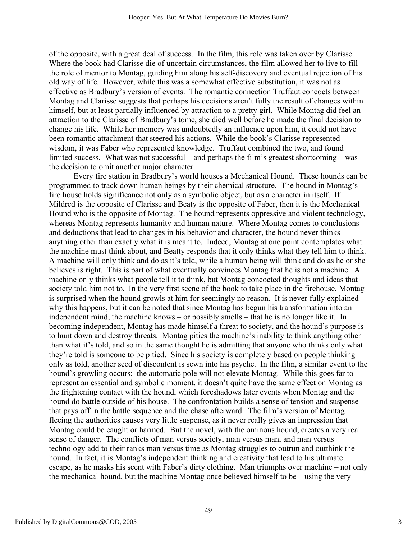of the opposite, with a great deal of success. In the film, this role was taken over by Clarisse. Where the book had Clarisse die of uncertain circumstances, the film allowed her to live to fill the role of mentor to Montag, guiding him along his self-discovery and eventual rejection of his old way of life. However, while this was a somewhat effective substitution, it was not as effective as Bradbury's version of events. The romantic connection Truffaut concocts between Montag and Clarisse suggests that perhaps his decisions aren't fully the result of changes within himself, but at least partially influenced by attraction to a pretty girl. While Montag did feel an attraction to the Clarisse of Bradbury's tome, she died well before he made the final decision to change his life. While her memory was undoubtedly an influence upon him, it could not have been romantic attachment that steered his actions. While the book's Clarisse represented wisdom, it was Faber who represented knowledge. Truffaut combined the two, and found limited success. What was not successful – and perhaps the film's greatest shortcoming – was the decision to omit another major character.

Every fire station in Bradbury's world houses a Mechanical Hound. These hounds can be programmed to track down human beings by their chemical structure. The hound in Montag's fire house holds significance not only as a symbolic object, but as a character in itself. If Mildred is the opposite of Clarisse and Beaty is the opposite of Faber, then it is the Mechanical Hound who is the opposite of Montag. The hound represents oppressive and violent technology, whereas Montag represents humanity and human nature. Where Montag comes to conclusions and deductions that lead to changes in his behavior and character, the hound never thinks anything other than exactly what it is meant to. Indeed, Montag at one point contemplates what the machine must think about, and Beatty responds that it only thinks what they tell him to think. A machine will only think and do as it's told, while a human being will think and do as he or she believes is right. This is part of what eventually convinces Montag that he is not a machine. A machine only thinks what people tell it to think, but Montag concocted thoughts and ideas that society told him not to. In the very first scene of the book to take place in the firehouse, Montag is surprised when the hound growls at him for seemingly no reason. It is never fully explained why this happens, but it can be noted that since Montag has begun his transformation into an independent mind, the machine knows – or possibly smells – that he is no longer like it. In becoming independent, Montag has made himself a threat to society, and the hound's purpose is to hunt down and destroy threats. Montag pities the machine's inability to think anything other than what it's told, and so in the same thought he is admitting that anyone who thinks only what they're told is someone to be pitied. Since his society is completely based on people thinking only as told, another seed of discontent is sewn into his psyche. In the film, a similar event to the hound's growling occurs: the automatic pole will not elevate Montag. While this goes far to represent an essential and symbolic moment, it doesn't quite have the same effect on Montag as the frightening contact with the hound, which foreshadows later events when Montag and the hound do battle outside of his house. The confrontation builds a sense of tension and suspense that pays off in the battle sequence and the chase afterward. The film's version of Montag fleeing the authorities causes very little suspense, as it never really gives an impression that Montag could be caught or harmed. But the novel, with the ominous hound, creates a very real sense of danger. The conflicts of man versus society, man versus man, and man versus technology add to their ranks man versus time as Montag struggles to outrun and outthink the hound. In fact, it is Montag's independent thinking and creativity that lead to his ultimate escape, as he masks his scent with Faber's dirty clothing. Man triumphs over machine – not only the mechanical hound, but the machine Montag once believed himself to be – using the very